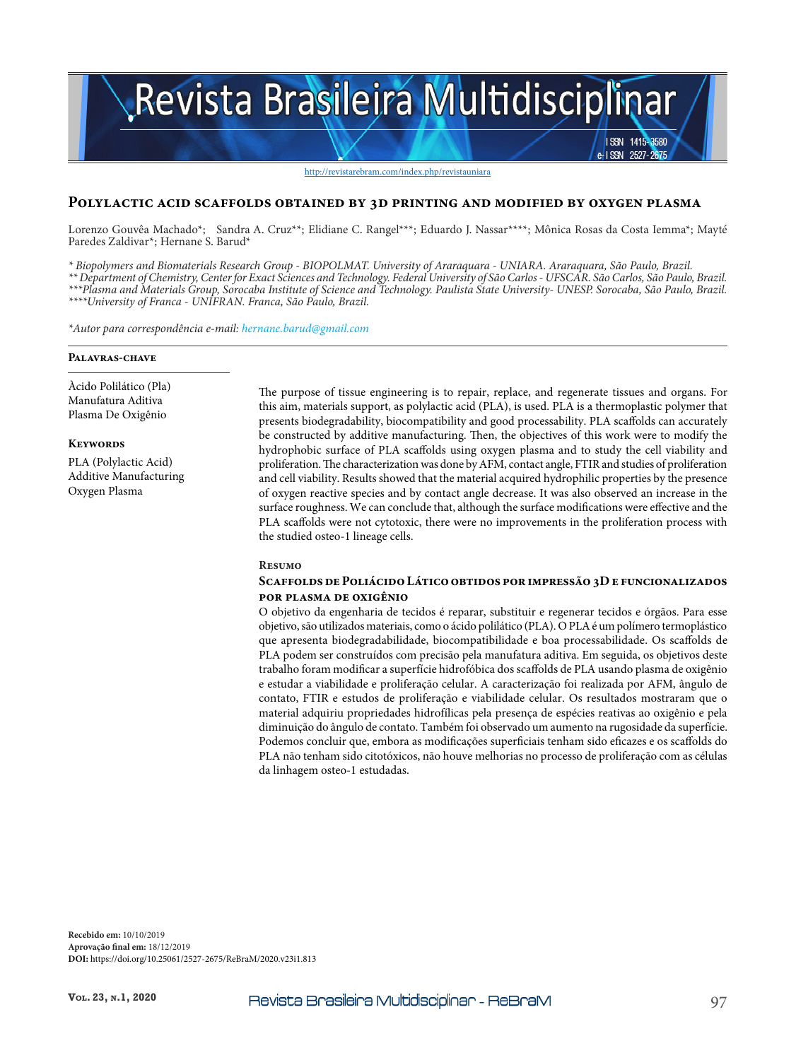# Revista Brasileira Multidisciplinar ISSN 1415-3580

#### http://revistarebram.com/index.php/revistauniara

#### **Polylactic acid scaffolds obtained by 3d printing and modified by oxygen plasma**

Lorenzo Gouvêa Machado\*; Sandra A. Cruz\*\*; Elidiane C. Rangel\*\*\*; Eduardo J. Nassar\*\*\*\*; Mônica Rosas da Costa Iemma\*; Mayté Paredes Zaldivar\*; Hernane S. Barud\*

*\* Biopolymers and Biomaterials Research Group - BIOPOLMAT. University of Araraquara - UNIARA. Araraquara, São Paulo, Brazil. \*\* Department of Chemistry, Center for Exact Sciences and Technology. Federal University of São Carlos - UFSCAR. São Carlos, São Paulo, Brazil. \*\*\*Plasma and Materials Group, Sorocaba Institute of Science and Technology. Paulista State University- UNESP. Sorocaba, São Paulo, Brazil. \*\*\*\*University of Franca - UNIFRAN. Franca, São Paulo, Brazil.*

*\*Autor para correspondência e-mail: hernane.barud@gmail.com* 

#### **Palavras-chave**

Àcido Polilático (Pla) Manufatura Aditiva Plasma De Oxigênio

**Keywords**

PLA (Polylactic Acid) Additive Manufacturing Oxygen Plasma

The purpose of tissue engineering is to repair, replace, and regenerate tissues and organs. For this aim, materials support, as polylactic acid (PLA), is used. PLA is a thermoplastic polymer that presents biodegradability, biocompatibility and good processability. PLA scaffolds can accurately be constructed by additive manufacturing. Then, the objectives of this work were to modify the hydrophobic surface of PLA scaffolds using oxygen plasma and to study the cell viability and proliferation. The characterization was done by AFM, contact angle, FTIR and studies of proliferation and cell viability. Results showed that the material acquired hydrophilic properties by the presence of oxygen reactive species and by contact angle decrease. It was also observed an increase in the surface roughness. We can conclude that, although the surface modifications were effective and the PLA scaffolds were not cytotoxic, there were no improvements in the proliferation process with the studied osteo-1 lineage cells.

**ISSN** 

 $2527 - 26$ 

#### **Resumo**

#### **Scaffolds de Poliácido Lático obtidos por impressão 3D e funcionalizados por plasma de oxigênio**

O objetivo da engenharia de tecidos é reparar, substituir e regenerar tecidos e órgãos. Para esse objetivo, são utilizados materiais, como o ácido polilático (PLA). O PLA é um polímero termoplástico que apresenta biodegradabilidade, biocompatibilidade e boa processabilidade. Os scaffolds de PLA podem ser construídos com precisão pela manufatura aditiva. Em seguida, os objetivos deste trabalho foram modificar a superfície hidrofóbica dos scaffolds de PLA usando plasma de oxigênio e estudar a viabilidade e proliferação celular. A caracterização foi realizada por AFM, ângulo de contato, FTIR e estudos de proliferação e viabilidade celular. Os resultados mostraram que o material adquiriu propriedades hidrofílicas pela presença de espécies reativas ao oxigênio e pela diminuição do ângulo de contato. Também foi observado um aumento na rugosidade da superfície. Podemos concluir que, embora as modificações superficiais tenham sido eficazes e os scaffolds do PLA não tenham sido citotóxicos, não houve melhorias no processo de proliferação com as células da linhagem osteo-1 estudadas.

**Recebido em:** 10/10/2019 **Aprovação final em:** 18/12/2019 **DOI:** https://doi.org/10.25061/2527-2675/ReBraM/2020.v23i1.813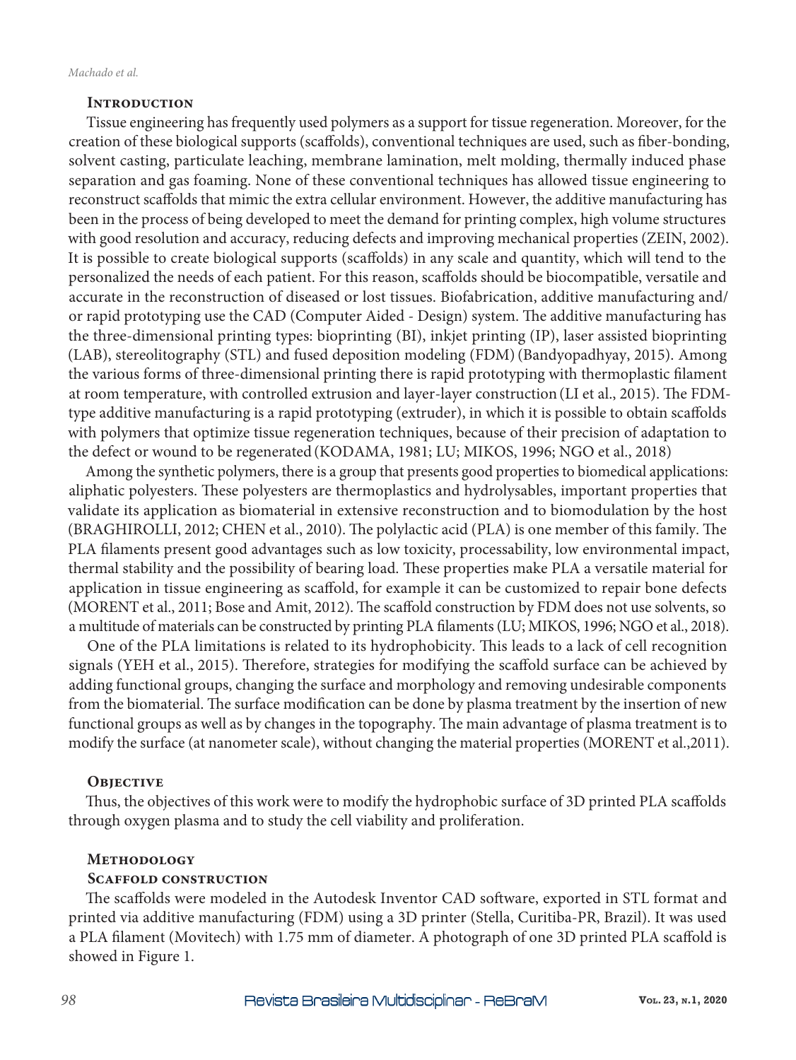## **Introduction**

Tissue engineering has frequently used polymers as a support for tissue regeneration. Moreover, for the creation of these biological supports (scaffolds), conventional techniques are used, such as fiber-bonding, solvent casting, particulate leaching, membrane lamination, melt molding, thermally induced phase separation and gas foaming. None of these conventional techniques has allowed tissue engineering to reconstruct scaffolds that mimic the extra cellular environment. However, the additive manufacturing has been in the process of being developed to meet the demand for printing complex, high volume structures with good resolution and accuracy, reducing defects and improving mechanical properties (ZEIN, 2002). It is possible to create biological supports (scaffolds) in any scale and quantity, which will tend to the personalized the needs of each patient. For this reason, scaffolds should be biocompatible, versatile and accurate in the reconstruction of diseased or lost tissues. Biofabrication, additive manufacturing and/ or rapid prototyping use the CAD (Computer Aided - Design) system. The additive manufacturing has the three-dimensional printing types: bioprinting (BI), inkjet printing (IP), laser assisted bioprinting (LAB), stereolitography (STL) and fused deposition modeling (FDM)(Bandyopadhyay, 2015). Among the various forms of three-dimensional printing there is rapid prototyping with thermoplastic filament at room temperature, with controlled extrusion and layer-layer construction(LI et al., 2015). The FDMtype additive manufacturing is a rapid prototyping (extruder), in which it is possible to obtain scaffolds with polymers that optimize tissue regeneration techniques, because of their precision of adaptation to the defect or wound to be regenerated (KODAMA, 1981; LU; MIKOS, 1996; NGO et al., 2018)

Among the synthetic polymers, there is a group that presents good properties to biomedical applications: aliphatic polyesters. These polyesters are thermoplastics and hydrolysables, important properties that validate its application as biomaterial in extensive reconstruction and to biomodulation by the host (BRAGHIROLLI, 2012; CHEN et al., 2010). The polylactic acid (PLA) is one member of this family. The PLA filaments present good advantages such as low toxicity, processability, low environmental impact, thermal stability and the possibility of bearing load. These properties make PLA a versatile material for application in tissue engineering as scaffold, for example it can be customized to repair bone defects (MORENT et al., 2011; Bose and Amit, 2012). The scaffold construction by FDM does not use solvents, so a multitude of materials can be constructed by printing PLA filaments (LU; MIKOS, 1996; NGO et al., 2018).

One of the PLA limitations is related to its hydrophobicity. This leads to a lack of cell recognition signals (YEH et al., 2015). Therefore, strategies for modifying the scaffold surface can be achieved by adding functional groups, changing the surface and morphology and removing undesirable components from the biomaterial. The surface modification can be done by plasma treatment by the insertion of new functional groups as well as by changes in the topography. The main advantage of plasma treatment is to modify the surface (at nanometer scale), without changing the material properties (MORENT et al.,2011).

## **Objective**

Thus, the objectives of this work were to modify the hydrophobic surface of 3D printed PLA scaffolds through oxygen plasma and to study the cell viability and proliferation.

## **Methodology**

## **Scaffold construction**

The scaffolds were modeled in the Autodesk Inventor CAD software, exported in STL format and printed via additive manufacturing (FDM) using a 3D printer (Stella, Curitiba-PR, Brazil). It was used a PLA filament (Movitech) with 1.75 mm of diameter. A photograph of one 3D printed PLA scaffold is showed in Figure 1.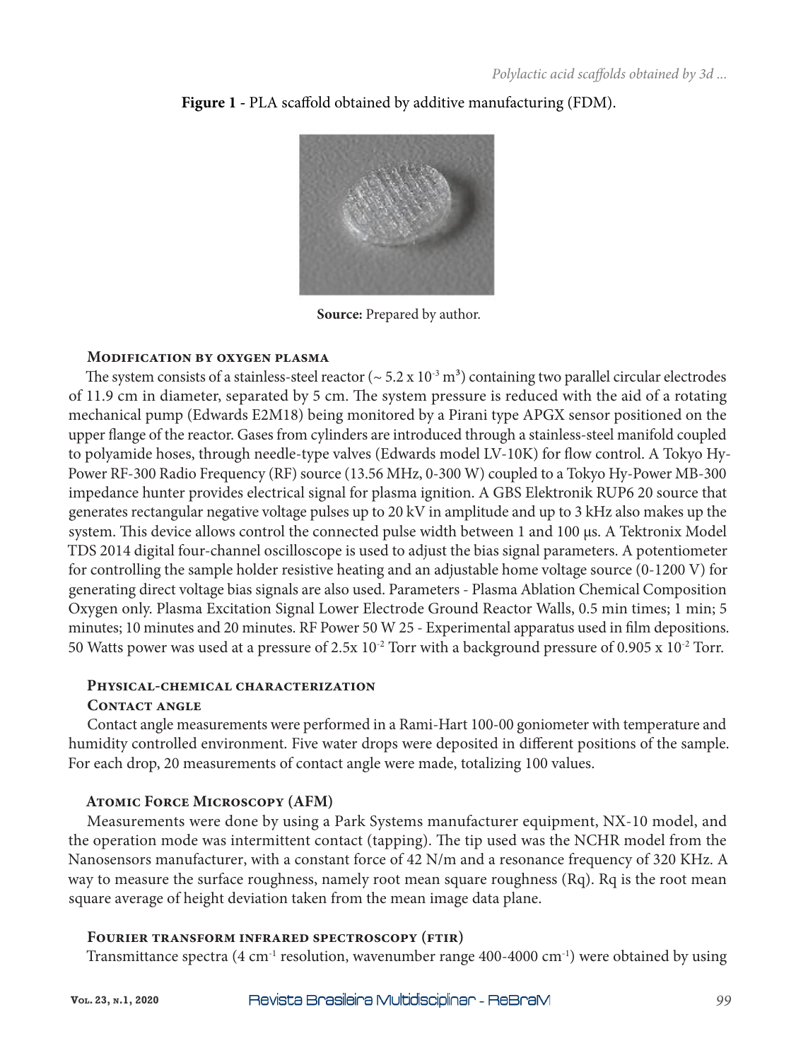

**Figure 1 -** PLA scaffold obtained by additive manufacturing (FDM).

**Source:** Prepared by author.

# **Modification by oxygen plasma**

The system consists of a stainless-steel reactor ( $\sim$  5.2 x 10<sup>-3</sup> m<sup>3</sup>) containing two parallel circular electrodes of 11.9 cm in diameter, separated by 5 cm. The system pressure is reduced with the aid of a rotating mechanical pump (Edwards E2M18) being monitored by a Pirani type APGX sensor positioned on the upper flange of the reactor. Gases from cylinders are introduced through a stainless-steel manifold coupled to polyamide hoses, through needle-type valves (Edwards model LV-10K) for flow control. A Tokyo Hy-Power RF-300 Radio Frequency (RF) source (13.56 MHz, 0-300 W) coupled to a Tokyo Hy-Power MB-300 impedance hunter provides electrical signal for plasma ignition. A GBS Elektronik RUP6 20 source that generates rectangular negative voltage pulses up to 20 kV in amplitude and up to 3 kHz also makes up the system. This device allows control the connected pulse width between 1 and 100 μs. A Tektronix Model TDS 2014 digital four-channel oscilloscope is used to adjust the bias signal parameters. A potentiometer for controlling the sample holder resistive heating and an adjustable home voltage source (0-1200 V) for generating direct voltage bias signals are also used. Parameters - Plasma Ablation Chemical Composition Oxygen only. Plasma Excitation Signal Lower Electrode Ground Reactor Walls, 0.5 min times; 1 min; 5 minutes; 10 minutes and 20 minutes. RF Power 50 W 25 - Experimental apparatus used in film depositions. 50 Watts power was used at a pressure of  $2.5x\ 10^{-2}$  Torr with a background pressure of 0.905 x  $10^{-2}$  Torr.

# **Physical-chemical characterization**

# **Contact angle**

Contact angle measurements were performed in a Rami-Hart 100-00 goniometer with temperature and humidity controlled environment. Five water drops were deposited in different positions of the sample. For each drop, 20 measurements of contact angle were made, totalizing 100 values.

# **Atomic Force Microscopy (AFM)**

Measurements were done by using a Park Systems manufacturer equipment, NX-10 model, and the operation mode was intermittent contact (tapping). The tip used was the NCHR model from the Nanosensors manufacturer, with a constant force of 42 N/m and a resonance frequency of 320 KHz. A way to measure the surface roughness, namely root mean square roughness (Rq). Rq is the root mean square average of height deviation taken from the mean image data plane.

# **Fourier transform infrared spectroscopy (ftir)**

Transmittance spectra (4 cm<sup>-1</sup> resolution, wavenumber range 400-4000 cm<sup>-1</sup>) were obtained by using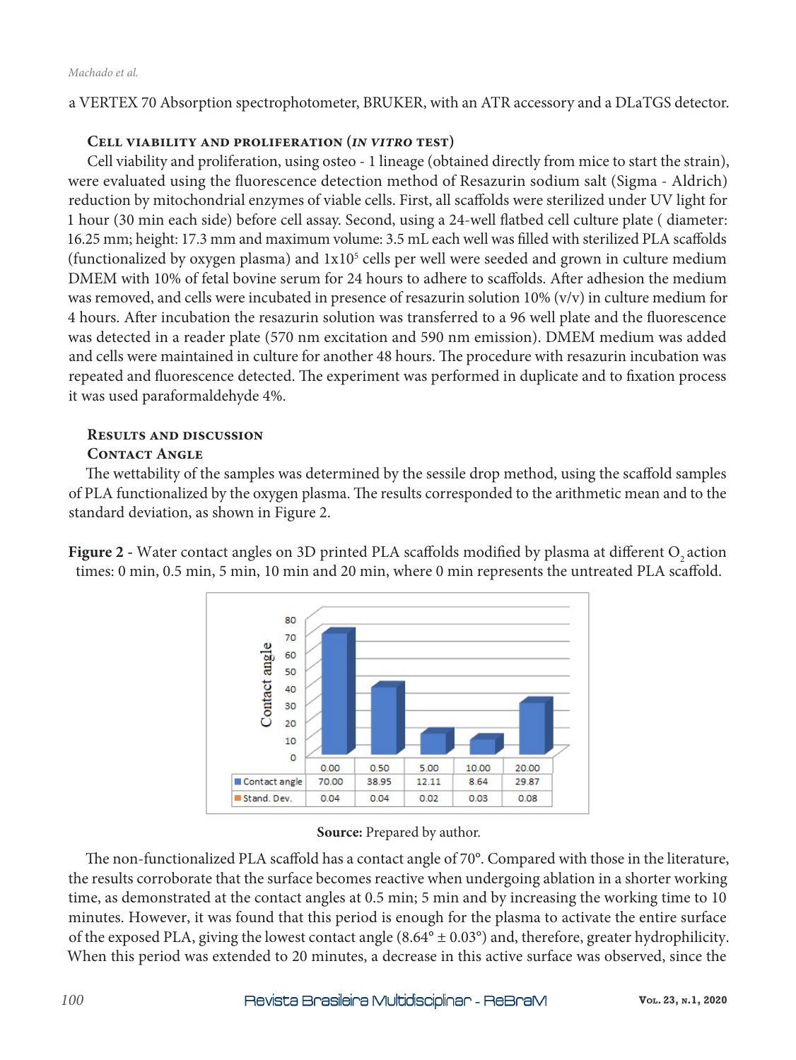a VERTEX 70 Absorption spectrophotometer, BRUKER, with an ATR accessory and a DLaTGS detector.

# **Cell viability and proliferation (***in vitro* **test)**

Cell viability and proliferation, using osteo - 1 lineage (obtained directly from mice to start the strain), were evaluated using the fluorescence detection method of Resazurin sodium salt (Sigma - Aldrich) reduction by mitochondrial enzymes of viable cells. First, all scaffolds were sterilized under UV light for 1 hour (30 min each side) before cell assay. Second, using a 24-well flatbed cell culture plate ( diameter: 16.25 mm; height: 17.3 mm and maximum volume: 3.5 mL each well was filled with sterilized PLA scaffolds (functionalized by oxygen plasma) and  $1x10<sup>5</sup>$  cells per well were seeded and grown in culture medium DMEM with 10% of fetal bovine serum for 24 hours to adhere to scaffolds. After adhesion the medium was removed, and cells were incubated in presence of resazurin solution 10% (v/v) in culture medium for 4 hours. After incubation the resazurin solution was transferred to a 96 well plate and the fluorescence was detected in a reader plate (570 nm excitation and 590 nm emission). DMEM medium was added and cells were maintained in culture for another 48 hours. The procedure with resazurin incubation was repeated and fluorescence detected. The experiment was performed in duplicate and to fixation process it was used paraformaldehyde 4%.

# **Results and discussion**

# **Contact Angle**

The wettability of the samples was determined by the sessile drop method, using the scaffold samples of PLA functionalized by the oxygen plasma. The results corresponded to the arithmetic mean and to the standard deviation, as shown in Figure 2.

Figure 2 - Water contact angles on 3D printed PLA scaffolds modified by plasma at different O<sub>2</sub> action times: 0 min, 0.5 min, 5 min, 10 min and 20 min, where 0 min represents the untreated PLA scaffold.



## **Source:** Prepared by author.

The non-functionalized PLA scaffold has a contact angle of 70°. Compared with those in the literature, the results corroborate that the surface becomes reactive when undergoing ablation in a shorter working time, as demonstrated at the contact angles at 0.5 min; 5 min and by increasing the working time to 10 minutes. However, it was found that this period is enough for the plasma to activate the entire surface of the exposed PLA, giving the lowest contact angle  $(8.64^{\circ} \pm 0.03^{\circ})$  and, therefore, greater hydrophilicity. When this period was extended to 20 minutes, a decrease in this active surface was observed, since the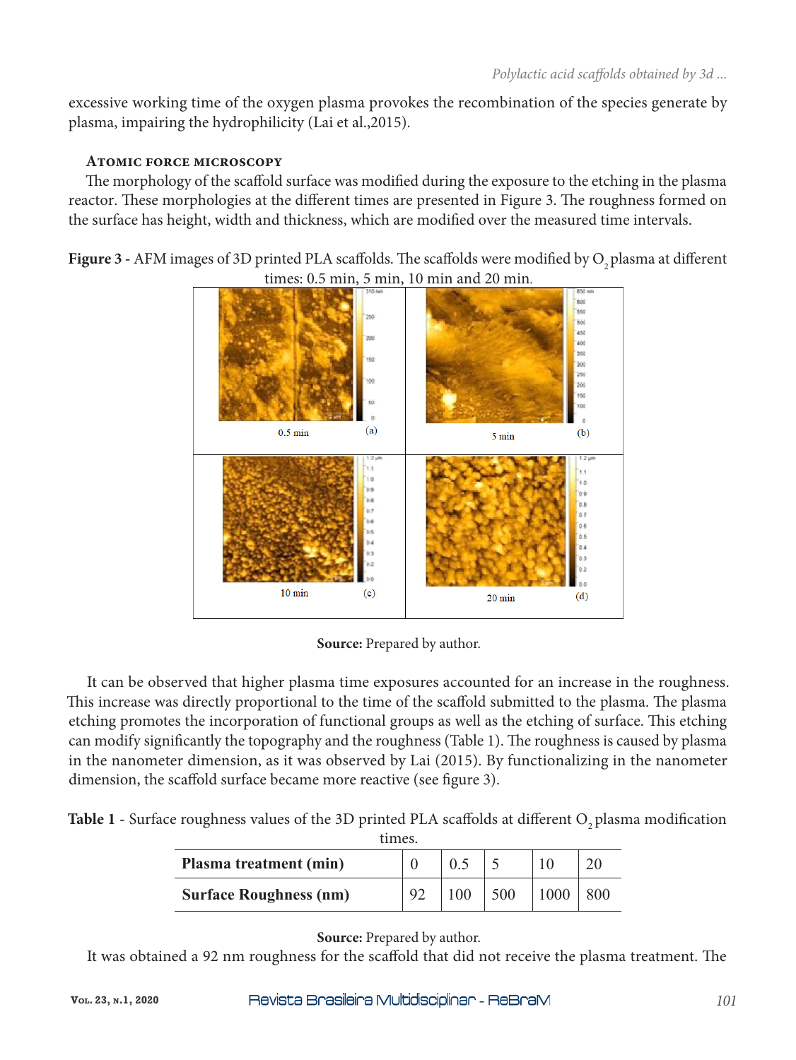excessive working time of the oxygen plasma provokes the recombination of the species generate by plasma, impairing the hydrophilicity (Lai et al.,2015).

# **Atomic force microscopy**

The morphology of the scaffold surface was modified during the exposure to the etching in the plasma reactor. These morphologies at the different times are presented in Figure 3. The roughness formed on the surface has height, width and thickness, which are modified over the measured time intervals.

Figure 3 - AFM images of 3D printed PLA scaffolds. The scaffolds were modified by O<sub>2</sub> plasma at different times: 0.5 min, 5 min, 10 min and 20 min.



**Source:** Prepared by author.

It can be observed that higher plasma time exposures accounted for an increase in the roughness. This increase was directly proportional to the time of the scaffold submitted to the plasma. The plasma etching promotes the incorporation of functional groups as well as the etching of surface. This etching can modify significantly the topography and the roughness (Table 1). The roughness is caused by plasma in the nanometer dimension, as it was observed by Lai (2015). By functionalizing in the nanometer dimension, the scaffold surface became more reactive (see figure 3).

Table 1 - Surface roughness values of the 3D printed PLA scaffolds at different O<sub>2</sub> plasma modification times.

| $\mathbf{u}$<br>Plasma treatment (min) |    |     |      |  |
|----------------------------------------|----|-----|------|--|
| <b>Surface Roughness (nm)</b>          | 92 | 500 | 1000 |  |

**Source:** Prepared by author.

It was obtained a 92 nm roughness for the scaffold that did not receive the plasma treatment. The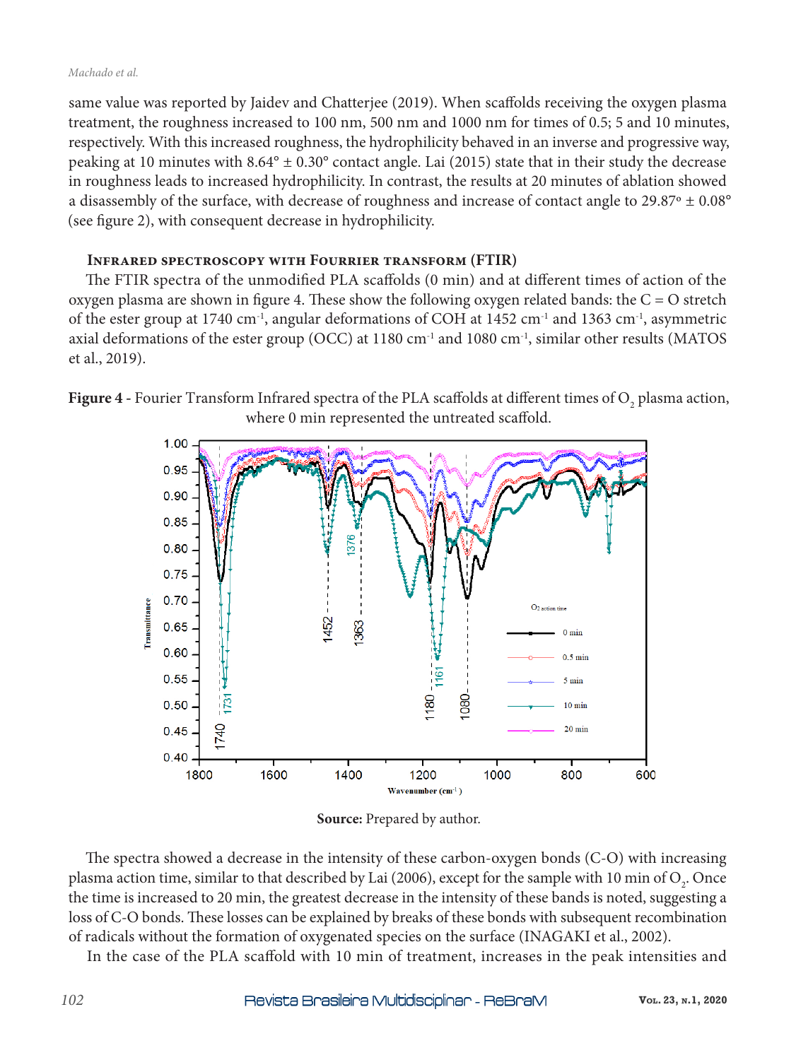#### *Machado et al.*

same value was reported by Jaidev and Chatterjee (2019). When scaffolds receiving the oxygen plasma treatment, the roughness increased to 100 nm, 500 nm and 1000 nm for times of 0.5; 5 and 10 minutes, respectively. With this increased roughness, the hydrophilicity behaved in an inverse and progressive way, peaking at 10 minutes with  $8.64^{\circ} \pm 0.30^{\circ}$  contact angle. Lai (2015) state that in their study the decrease in roughness leads to increased hydrophilicity. In contrast, the results at 20 minutes of ablation showed a disassembly of the surface, with decrease of roughness and increase of contact angle to 29.87º ± 0.08° (see figure 2), with consequent decrease in hydrophilicity.

# **Infrared spectroscopy with Fourrier transform (FTIR)**

The FTIR spectra of the unmodified PLA scaffolds (0 min) and at different times of action of the oxygen plasma are shown in figure 4. These show the following oxygen related bands: the C = O stretch of the ester group at 1740 cm<sup>-1</sup>, angular deformations of COH at 1452 cm<sup>-1</sup> and 1363 cm<sup>-1</sup>, asymmetric axial deformations of the ester group (OCC) at  $1180 \text{ cm}^{-1}$  and  $1080 \text{ cm}^{-1}$ , similar other results (MATOS et al., 2019).

**Figure 4** - Fourier Transform Infrared spectra of the PLA scaffolds at different times of  $O_2$  plasma action, where 0 min represented the untreated scaffold.



**Source:** Prepared by author.

The spectra showed a decrease in the intensity of these carbon-oxygen bonds (C-O) with increasing plasma action time, similar to that described by Lai (2006), except for the sample with 10 min of  $\mathrm{O}_{_2}$ . Once the time is increased to 20 min, the greatest decrease in the intensity of these bands is noted, suggesting a loss of C-O bonds. These losses can be explained by breaks of these bonds with subsequent recombination of radicals without the formation of oxygenated species on the surface (INAGAKI et al., 2002).

In the case of the PLA scaffold with 10 min of treatment, increases in the peak intensities and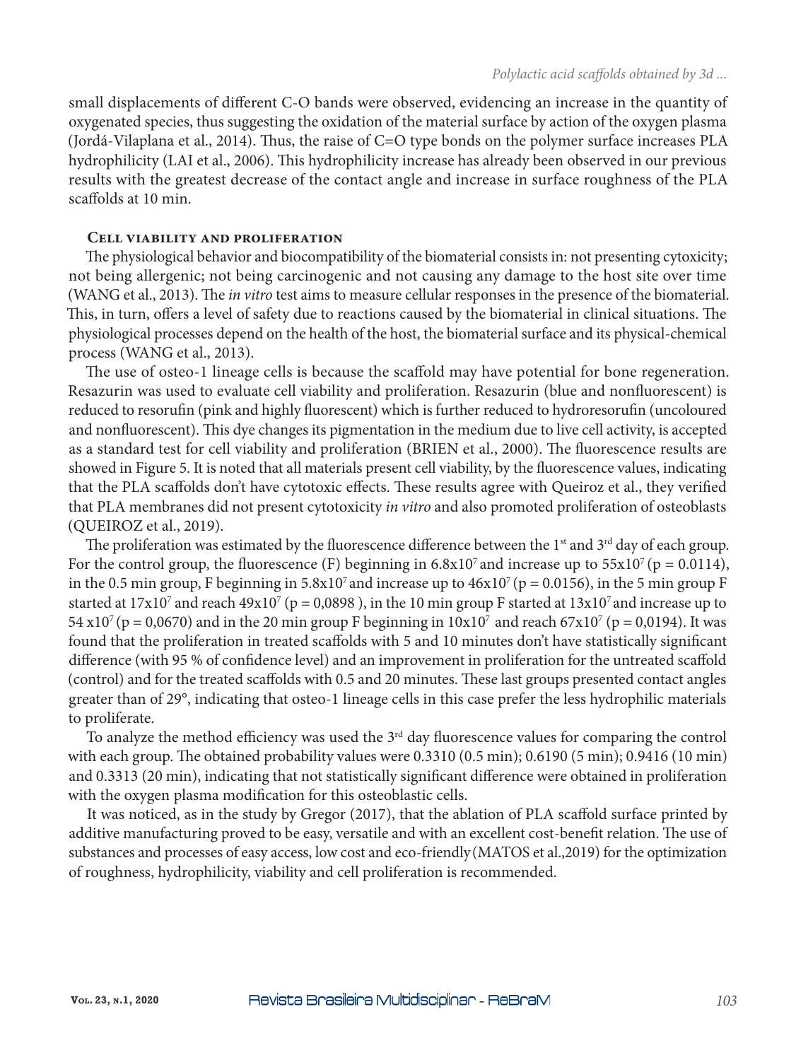small displacements of different C-O bands were observed, evidencing an increase in the quantity of oxygenated species, thus suggesting the oxidation of the material surface by action of the oxygen plasma (Jordá-Vilaplana et al., 2014). Thus, the raise of C=O type bonds on the polymer surface increases PLA hydrophilicity (LAI et al., 2006). This hydrophilicity increase has already been observed in our previous results with the greatest decrease of the contact angle and increase in surface roughness of the PLA scaffolds at 10 min.

# **Cell viability and proliferation**

The physiological behavior and biocompatibility of the biomaterial consists in: not presenting cytoxicity; not being allergenic; not being carcinogenic and not causing any damage to the host site over time (WANG et al., 2013). The *in vitro* test aims to measure cellular responses in the presence of the biomaterial. This, in turn, offers a level of safety due to reactions caused by the biomaterial in clinical situations. The physiological processes depend on the health of the host, the biomaterial surface and its physical-chemical process (WANG et al., 2013).

The use of osteo-1 lineage cells is because the scaffold may have potential for bone regeneration. Resazurin was used to evaluate cell viability and proliferation. Resazurin (blue and nonfluorescent) is reduced to resorufin (pink and highly fluorescent) which is further reduced to hydroresorufin (uncoloured and nonfluorescent). This dye changes its pigmentation in the medium due to live cell activity, is accepted as a standard test for cell viability and proliferation (BRIEN et al., 2000). The fluorescence results are showed in Figure 5. It is noted that all materials present cell viability, by the fluorescence values, indicating that the PLA scaffolds don't have cytotoxic effects. These results agree with Queiroz et al., they verified that PLA membranes did not present cytotoxicity *in vitro* and also promoted proliferation of osteoblasts (QUEIROZ et al., 2019).

The proliferation was estimated by the fluorescence difference between the 1<sup>st</sup> and 3<sup>rd</sup> day of each group. For the control group, the fluorescence (F) beginning in  $6.8x10<sup>7</sup>$  and increase up to  $55x10<sup>7</sup>$  (p = 0.0114), in the 0.5 min group, F beginning in  $5.8x10^7$  and increase up to  $46x10^7$  (p = 0.0156), in the 5 min group F started at 17x10<sup>7</sup> and reach 49x10<sup>7</sup> (p = 0,0898 ), in the 10 min group F started at 13x10<sup>7</sup> and increase up to 54 x10<sup>7</sup> (p = 0,0670) and in the 20 min group F beginning in  $10x10^7$  and reach 67x10<sup>7</sup> (p = 0,0194). It was found that the proliferation in treated scaffolds with 5 and 10 minutes don't have statistically significant difference (with 95 % of confidence level) and an improvement in proliferation for the untreated scaffold (control) and for the treated scaffolds with 0.5 and 20 minutes. These last groups presented contact angles greater than of 29°, indicating that osteo-1 lineage cells in this case prefer the less hydrophilic materials to proliferate.

To analyze the method efficiency was used the 3<sup>rd</sup> day fluorescence values for comparing the control with each group. The obtained probability values were 0.3310 (0.5 min); 0.6190 (5 min); 0.9416 (10 min) and 0.3313 (20 min), indicating that not statistically significant difference were obtained in proliferation with the oxygen plasma modification for this osteoblastic cells.

It was noticed, as in the study by Gregor (2017), that the ablation of PLA scaffold surface printed by additive manufacturing proved to be easy, versatile and with an excellent cost-benefit relation. The use of substances and processes of easy access, low cost and eco-friendly(MATOS et al.,2019) for the optimization of roughness, hydrophilicity, viability and cell proliferation is recommended.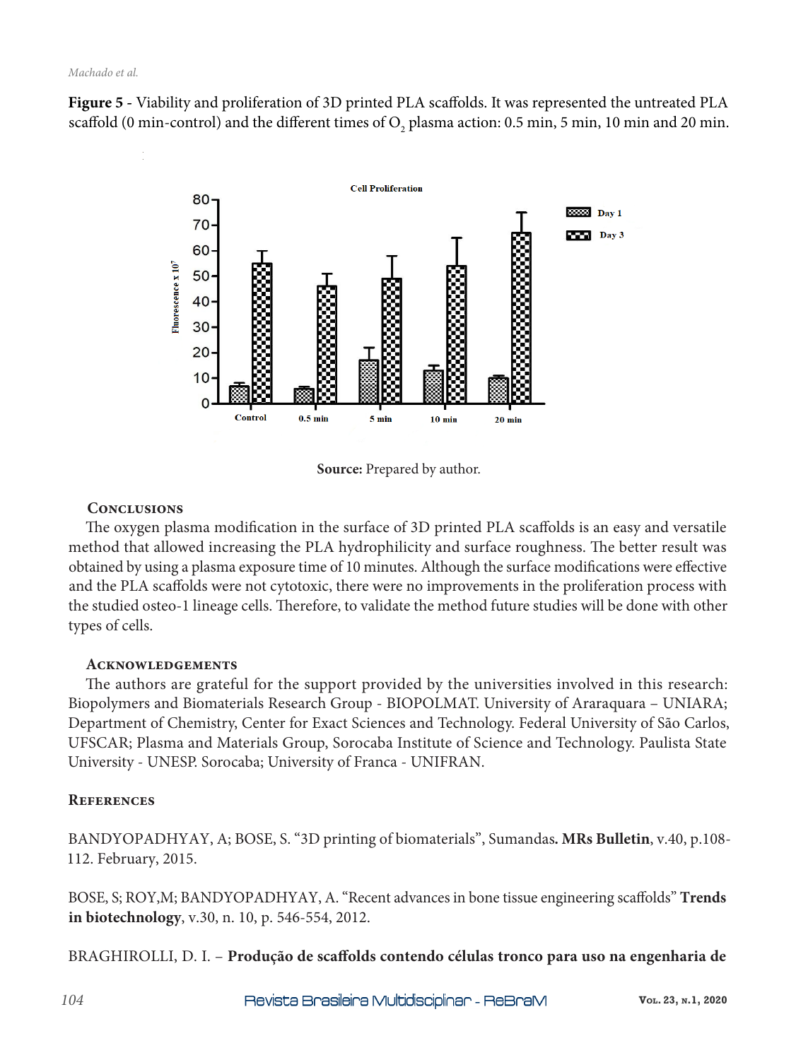**Figure 5 -** Viability and proliferation of 3D printed PLA scaffolds. It was represented the untreated PLA scaffold (0 min-control) and the different times of  $\rm O_{2}$  plasma action: 0.5 min, 5 min, 10 min and 20 min.



**Source:** Prepared by author.

# **Conclusions**

The oxygen plasma modification in the surface of 3D printed PLA scaffolds is an easy and versatile method that allowed increasing the PLA hydrophilicity and surface roughness. The better result was obtained by using a plasma exposure time of 10 minutes. Although the surface modifications were effective and the PLA scaffolds were not cytotoxic, there were no improvements in the proliferation process with the studied osteo-1 lineage cells. Therefore, to validate the method future studies will be done with other types of cells.

# **Acknowledgements**

The authors are grateful for the support provided by the universities involved in this research: Biopolymers and Biomaterials Research Group - BIOPOLMAT. University of Araraquara – UNIARA; Department of Chemistry, Center for Exact Sciences and Technology. Federal University of São Carlos, UFSCAR; Plasma and Materials Group, Sorocaba Institute of Science and Technology. Paulista State University - UNESP. Sorocaba; University of Franca - UNIFRAN.

# **References**

BANDYOPADHYAY, A; BOSE, S. "3D printing of biomaterials", Sumandas**. MRs Bulletin**, v.40, p.108- 112. February, 2015.

BOSE, S; ROY,M; BANDYOPADHYAY, A. "Recent advances in bone tissue engineering scaffolds" **Trends in biotechnology**, v.30, n. 10, p. 546-554, 2012.

BRAGHIROLLI, D. I. – **Produção de scaffolds contendo células tronco para uso na engenharia de**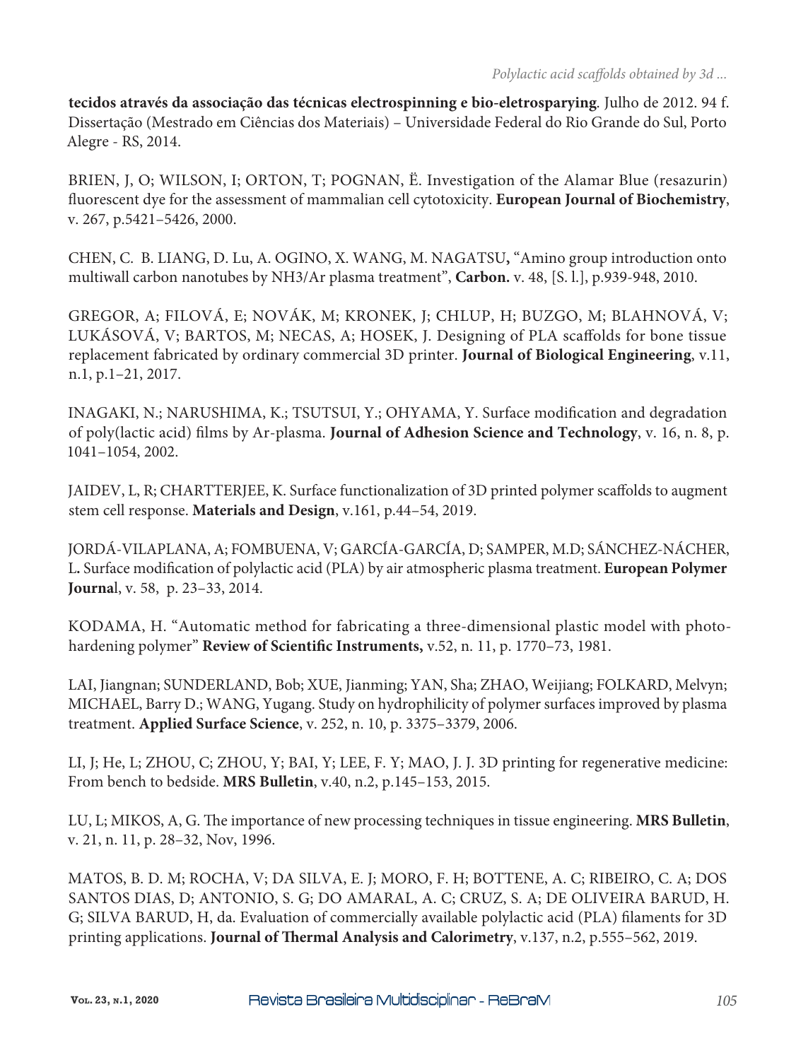**tecidos através da associação das técnicas electrospinning e bio-eletrosparying**. Julho de 2012. 94 f. Dissertação (Mestrado em Ciências dos Materiais) – Universidade Federal do Rio Grande do Sul, Porto Alegre - RS, 2014.

BRIEN, J, O; WILSON, I; ORTON, T; POGNAN, Ë. Investigation of the Alamar Blue (resazurin) fluorescent dye for the assessment of mammalian cell cytotoxicity. **European Journal of Biochemistry**, v. 267, p.5421–5426, 2000.

CHEN, C. B. LIANG, D. Lu, A. OGINO, X. WANG, M. NAGATSU**,** "Amino group introduction onto multiwall carbon nanotubes by NH3/Ar plasma treatment", **Carbon.** v. 48, [S. l.], p.939-948, 2010.

GREGOR, A; FILOVÁ, E; NOVÁK, M; KRONEK, J; CHLUP, H; BUZGO, M; BLAHNOVÁ, V; LUKÁSOVÁ, V; BARTOS, M; NECAS, A; HOSEK, J. Designing of PLA scaffolds for bone tissue replacement fabricated by ordinary commercial 3D printer. **Journal of Biological Engineering**, v.11, n.1, p.1–21, 2017.

INAGAKI, N.; NARUSHIMA, K.; TSUTSUI, Y.; OHYAMA, Y. Surface modification and degradation of poly(lactic acid) films by Ar-plasma. **Journal of Adhesion Science and Technology**, v. 16, n. 8, p. 1041–1054, 2002.

JAIDEV, L, R; CHARTTERJEE, K. Surface functionalization of 3D printed polymer scaffolds to augment stem cell response. **Materials and Design**, v.161, p.44–54, 2019.

JORDÁ-VILAPLANA, A; FOMBUENA, V; GARCÍA-GARCÍA, D; SAMPER, M.D; SÁNCHEZ-NÁCHER, L**.** Surface modification of polylactic acid (PLA) by air atmospheric plasma treatment. **European Polymer Journa**l, v. 58, p. 23–33, 2014.

KODAMA, H. "Automatic method for fabricating a three-dimensional plastic model with photohardening polymer" **Review of Scientific Instruments,** v.52, n. 11, p. 1770–73, 1981.

LAI, Jiangnan; SUNDERLAND, Bob; XUE, Jianming; YAN, Sha; ZHAO, Weijiang; FOLKARD, Melvyn; MICHAEL, Barry D.; WANG, Yugang. Study on hydrophilicity of polymer surfaces improved by plasma treatment. **Applied Surface Science**, v. 252, n. 10, p. 3375–3379, 2006.

LI, J; He, L; ZHOU, C; ZHOU, Y; BAI, Y; LEE, F. Y; MAO, J. J. 3D printing for regenerative medicine: From bench to bedside. **MRS Bulletin**, v.40, n.2, p.145–153, 2015.

LU, L; MIKOS, A, G. The importance of new processing techniques in tissue engineering. **MRS Bulletin**, v. 21, n. 11, p. 28–32, Nov, 1996.

MATOS, B. D. M; ROCHA, V; DA SILVA, E. J; MORO, F. H; BOTTENE, A. C; RIBEIRO, C. A; DOS SANTOS DIAS, D; ANTONIO, S. G; DO AMARAL, A. C; CRUZ, S. A; DE OLIVEIRA BARUD, H. G; SILVA BARUD, H, da. Evaluation of commercially available polylactic acid (PLA) filaments for 3D printing applications. **Journal of Thermal Analysis and Calorimetry**, v.137, n.2, p.555–562, 2019.